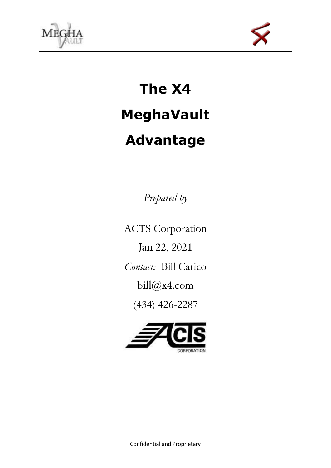



# **The X4 MeghaVault Advantage**

*Prepared by* 

ACTS Corporation

Jan 22, 2021

*Contact:* Bill Carico

bill@x4.com

(434) 426-2287

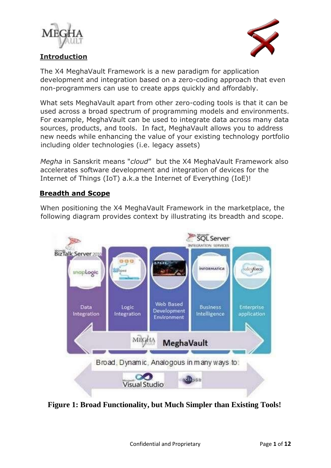





The X4 MeghaVault Framework is a new paradigm for application development and integration based on a zero-coding approach that even non-programmers can use to create apps quickly and affordably.

What sets MeghaVault apart from other zero-coding tools is that it can be used across a broad spectrum of programming models and environments. For example, MeghaVault can be used to integrate data across many data sources, products, and tools. In fact, MeghaVault allows you to address new needs while enhancing the value of your existing technology portfolio including older technologies (i.e. legacy assets)

*Megha* in Sanskrit means "*cloud*" but the X4 MeghaVault Framework also accelerates software development and integration of devices for the Internet of Things (IoT) a.k.a the Internet of Everything (IoE)!

### **Breadth and Scope**

When positioning the X4 MeghaVault Framework in the marketplace, the following diagram provides context by illustrating its breadth and scope.



 **Figure 1: Broad Functionality, but Much Simpler than Existing Tools!**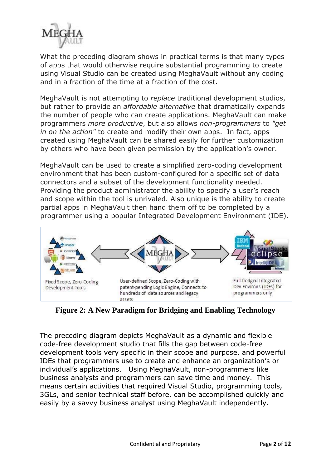

What the preceding diagram shows in practical terms is that many types of apps that would otherwise require substantial programming to create using Visual Studio can be created using MeghaVault without any coding and in a fraction of the time at a fraction of the cost.

MeghaVault is not attempting to *replace* traditional development studios, but rather to provide an *affordable alternative* that dramatically expands the number of people who can create applications. MeghaVault can make programmers *more productive*, but also allows *non-programmers* to *"get in on the action"* to create and modify their own apps. In fact, apps created using MeghaVault can be shared easily for further customization by others who have been given permission by the application's owner.

MeghaVault can be used to create a simplified zero-coding development environment that has been custom-configured for a specific set of data connectors and a subset of the development functionality needed. Providing the product administrator the ability to specify a user's reach and scope within the tool is unrivaled. Also unique is the ability to create partial apps in MeghaVault then hand them off to be completed by a programmer using a popular Integrated Development Environment (IDE).



**Figure 2: A New Paradigm for Bridging and Enabling Technology** 

The preceding diagram depicts MeghaVault as a dynamic and flexible code-free development studio that fills the gap between code-free development tools very specific in their scope and purpose, and powerful IDEs that programmers use to create and enhance an organization's or individual's applications. Using MeghaVault, non-programmers like business analysts and programmers can save time and money. This means certain activities that required Visual Studio, programming tools, 3GLs, and senior technical staff before, can be accomplished quickly and easily by a savvy business analyst using MeghaVault independently.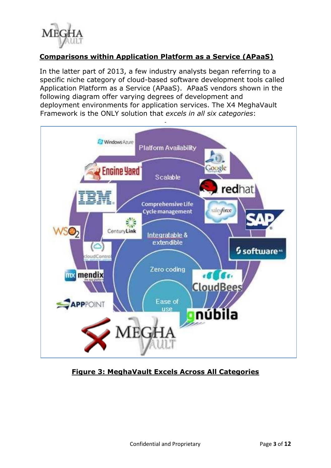

# **Comparisons within Application Platform as a Service (APaaS)**

In the latter part of 2013, a few industry analysts began referring to a specific niche category of cloud-based software development tools called Application Platform as a Service (APaaS). APaaS vendors shown in the following diagram offer varying degrees of development and deployment environments for application services. The X4 MeghaVault Framework is the ONLY solution that *excels in all six categories*:



**Figure 3: MeghaVault Excels Across All Categories**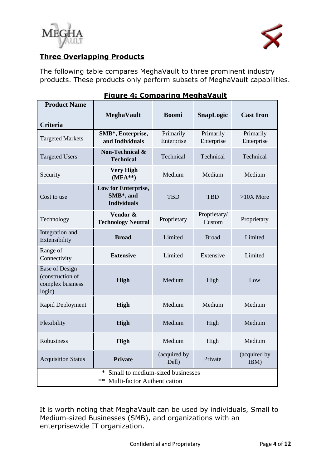



# **Three Overlapping Products**

The following table compares MeghaVault to three prominent industry products. These products only perform subsets of MeghaVault capabilities.

| <b>Product Name</b>                                                     |                                                                                   |                         |                         |                         |
|-------------------------------------------------------------------------|-----------------------------------------------------------------------------------|-------------------------|-------------------------|-------------------------|
|                                                                         | <b>MeghaVault</b>                                                                 | <b>Boomi</b>            | <b>SnapLogic</b>        | <b>Cast Iron</b>        |
| <b>Criteria</b>                                                         |                                                                                   |                         |                         |                         |
| <b>Targeted Markets</b>                                                 | SMB*, Enterprise,<br>and Individuals                                              | Primarily<br>Enterprise | Primarily<br>Enterprise | Primarily<br>Enterprise |
| <b>Targeted Users</b>                                                   | <b>Non-Technical &amp;</b><br><b>Technical</b>                                    | Technical               | Technical               | Technical               |
| Security                                                                | <b>Very High</b><br>$(MFA**)$                                                     | Medium                  | Medium                  | Medium                  |
| Cost to use                                                             | Low for Enterprise,<br>SMB*, and<br><b>Individuals</b>                            | <b>TBD</b>              | <b>TBD</b>              | $>10X$ More             |
| Technology                                                              | Vendor &<br><b>Technology Neutral</b>                                             | Proprietary             | Proprietary/<br>Custom  | Proprietary             |
| Integration and<br>Extensibility                                        | <b>Broad</b>                                                                      | Limited                 | <b>Broad</b>            | Limited                 |
| Range of<br>Connectivity                                                | <b>Extensive</b>                                                                  | Limited                 | Extensive               | Limited                 |
| <b>Ease of Design</b><br>(construction of<br>complex business<br>logic) | <b>High</b>                                                                       | Medium                  | High                    | Low                     |
| Rapid Deployment                                                        | <b>High</b>                                                                       | Medium                  | Medium                  | Medium                  |
| Flexibility                                                             | <b>High</b>                                                                       | Medium                  | High                    | Medium                  |
| <b>Robustness</b>                                                       | <b>High</b>                                                                       | Medium                  | High                    | Medium                  |
| <b>Acquisition Status</b>                                               | <b>Private</b>                                                                    | (acquired by<br>Dell)   | Private                 | (acquired by<br>IBM)    |
|                                                                         | ∗<br>Small to medium-sized businesses<br>**<br><b>Multi-factor Authentication</b> |                         |                         |                         |

# **Figure 4: Comparing MeghaVault**

It is worth noting that MeghaVault can be used by individuals, Small to Medium-sized Businesses (SMB), and organizations with an enterprisewide IT organization.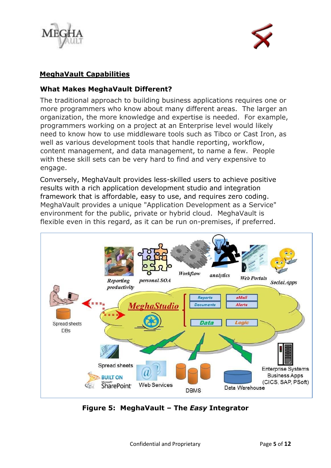

## **MeghaVault Capabilities**

### **What Makes MeghaVault Different?**

The traditional approach to building business applications requires one or more programmers who know about many different areas. The larger an organization, the more knowledge and expertise is needed. For example, programmers working on a project at an Enterprise level would likely need to know how to use middleware tools such as Tibco or Cast Iron, as well as various development tools that handle reporting, workflow, content management, and data management, to name a few. People with these skill sets can be very hard to find and very expensive to engage.

Conversely, MeghaVault provides less-skilled users to achieve positive results with a rich application development studio and integration framework that is affordable, easy to use, and requires zero coding. MeghaVault provides a unique "Application Development as a Service" environment for the public, private or hybrid cloud. MeghaVault is flexible even in this regard, as it can be run on-premises, if preferred.



**Figure 5: MeghaVault – The** *Easy* **Integrator**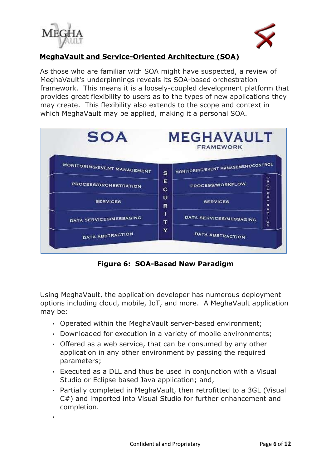

•



# **MeghaVault and Service-Oriented Architecture (SOA)**

As those who are familiar with SOA might have suspected, a review of MeghaVault's underpinnings reveals its SOA-based orchestration framework. This means it is a loosely-coupled development platform that provides great flexibility to users as to the types of new applications they may create. This flexibility also extends to the scope and context in which MeghaVault may be applied, making it a personal SOA.



**Figure 6: SOA-Based New Paradigm** 

Using MeghaVault, the application developer has numerous deployment options including cloud, mobile, IoT, and more. A MeghaVault application may be:

- Operated within the MeghaVault server-based environment;
- Downloaded for execution in a variety of mobile environments;
- Offered as a web service, that can be consumed by any other application in any other environment by passing the required parameters;
- Executed as a DLL and thus be used in conjunction with a Visual Studio or Eclipse based Java application; and,
- Partially completed in MeghaVault, then retrofitted to a 3GL (Visual C#) and imported into Visual Studio for further enhancement and completion.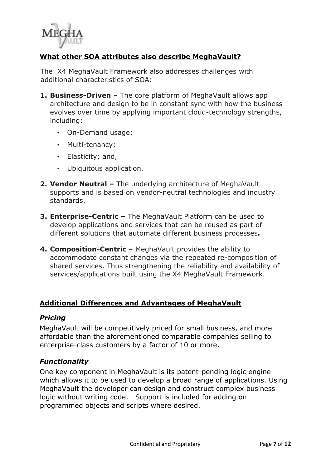

## **What other SOA attributes also describe MeghaVault?**

The X4 MeghaVault Framework also addresses challenges with additional characteristics of SOA:

- **1. Business-Driven** The core platform of MeghaVault allows app architecture and design to be in constant sync with how the business evolves over time by applying important cloud-technology strengths, including:
	- On-Demand usage;
	- Multi-tenancy;
	- Elasticity; and,
	- Ubiquitous application.
- **2. Vendor Neutral –** The underlying architecture of MeghaVault supports and is based on vendor-neutral technologies and industry standards.
- **3. Enterprise-Centric –** The MeghaVault Platform can be used to develop applications and services that can be reused as part of different solutions that automate different business processes**.**
- **4. Composition-Centric** MeghaVault provides the ability to accommodate constant changes via the repeated re-composition of shared services. Thus strengthening the reliability and availability of services/applications built using the X4 MeghaVault Framework.

#### **Additional Differences and Advantages of MeghaVault**

#### *Pricing*

MeghaVault will be competitively priced for small business, and more affordable than the aforementioned comparable companies selling to enterprise-class customers by a factor of 10 or more.

#### *Functionality*

One key component in MeghaVault is its patent-pending logic engine which allows it to be used to develop a broad range of applications. Using MeghaVault the developer can design and construct complex business logic without writing code. Support is included for adding on programmed objects and scripts where desired.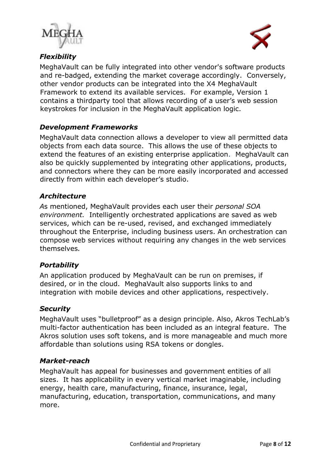



# *Flexibility*

MeghaVault can be fully integrated into other vendor's software products and re-badged, extending the market coverage accordingly. Conversely, other vendor products can be integrated into the X4 MeghaVault Framework to extend its available services. For example, Version 1 contains a thirdparty tool that allows recording of a user's web session keystrokes for inclusion in the MeghaVault application logic.

## *Development Frameworks*

MeghaVault data connection allows a developer to view all permitted data objects from each data source. This allows the use of these objects to extend the features of an existing enterprise application. MeghaVault can also be quickly supplemented by integrating other applications, products, and connectors where they can be more easily incorporated and accessed directly from within each developer's studio.

#### *Architecture*

*A*s mentioned, MeghaVault provides each user their *personal SOA environment.* Intelligently orchestrated applications are saved as web services, which can be re-used, revised, and exchanged immediately throughout the Enterprise, including business users. An orchestration can compose web services without requiring any changes in the web services themselves*.*

#### *Portability*

An application produced by MeghaVault can be run on premises, if desired, or in the cloud. MeghaVault also supports links to and integration with mobile devices and other applications, respectively.

#### *Security*

MeghaVault uses "bulletproof" as a design principle. Also, Akros TechLab's multi-factor authentication has been included as an integral feature. The Akros solution uses soft tokens, and is more manageable and much more affordable than solutions using RSA tokens or dongles.

#### *Market-reach*

MeghaVault has appeal for businesses and government entities of all sizes. It has applicability in every vertical market imaginable, including energy, health care, manufacturing, finance, insurance, legal, manufacturing, education, transportation, communications, and many more.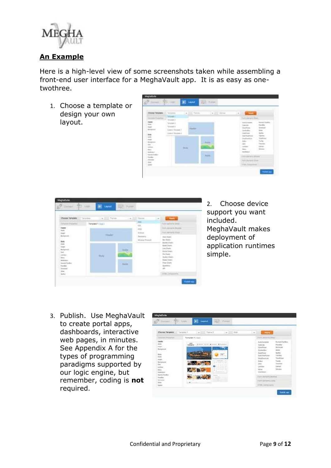

### **An Example**

Here is a high-level view of some screenshots taken while assembling a front-end user interface for a MeghaVault app. It is as easy as onetwothree.

1. Choose a template or design your own layout.



| Choose Temperature - Terrestown                                                                            | The Company                    |                                              | w.fill Dette                                                                                          | <b>CASTLE</b><br>$\mathcal{A}$                                                                                                                  |
|------------------------------------------------------------------------------------------------------------|--------------------------------|----------------------------------------------|-------------------------------------------------------------------------------------------------------|-------------------------------------------------------------------------------------------------------------------------------------------------|
| mi mi<br>inter-<br>telesco.<br>in more.<br><b>Demokratical</b><br>Newton<br><b>branch</b><br>Mar.<br>lamin | Termina 1 (111)<br>mode<br>. . |                                              | <b>Plate</b><br>GE.<br>$\frac{\sigma(\phi)}{\hbar\omega\cos\phi}$<br><b>Science</b><br>Writing Proced | Fare-spendid post<br>Ford: doctor Dr. Shortelli,<br>Fork warrants (Opta)<br>Alac Travel<br><b>Bar-Oldaho</b>                                    |
|                                                                                                            | <b>Buly</b>                    | <b>Ayds</b><br><b>Film</b><br><b>Automo-</b> | the Chain.<br><b>Historymin</b>                                                                       | <b>Bullate Charles</b><br><b>Build Charls</b><br>Line Director<br><b>University</b><br>Suite Corp.<br>Awas Units<br>- Fox Dark<br>$\frac{1}{2}$ |

2. Choose device support you want included. MeghaVault makes deployment of application runtimes simple.

3. Publish. Use MeghaVault to create portal apps, dashboards, interactive web pages, in minutes. See Appendix A for the types of programming paradigms supported by our logic engine, but remember, coding is **not** required.

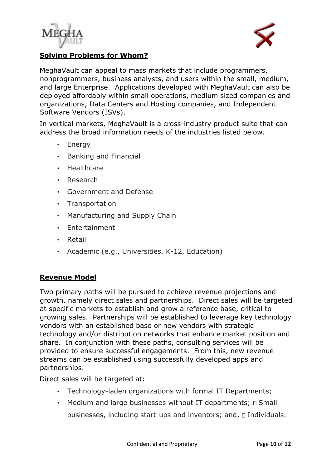



#### **Solving Problems for Whom?**

MeghaVault can appeal to mass markets that include programmers, nonprogrammers, business analysts, and users within the small, medium, and large Enterprise. Applications developed with MeghaVault can also be deployed affordably within small operations, medium sized companies and organizations, Data Centers and Hosting companies, and Independent Software Vendors (ISVs).

In vertical markets, MeghaVault is a cross-industry product suite that can address the broad information needs of the industries listed below.

- Energy
- Banking and Financial
- Healthcare
- Research
- Government and Defense
- Transportation
- Manufacturing and Supply Chain
- Entertainment
- Retail
- Academic (e.g., Universities, K-12, Education)

## **Revenue Model**

Two primary paths will be pursued to achieve revenue projections and growth, namely direct sales and partnerships. Direct sales will be targeted at specific markets to establish and grow a reference base, critical to growing sales. Partnerships will be established to leverage key technology vendors with an established base or new vendors with strategic technology and/or distribution networks that enhance market position and share. In conjunction with these paths, consulting services will be provided to ensure successful engagements. From this, new revenue streams can be established using successfully developed apps and partnerships.

Direct sales will be targeted at:

- Technology-laden organizations with formal IT Departments;
- Medium and large businesses without IT departments;  $\square$  Small businesses, including start-ups and inventors; and,  $\square$  Individuals.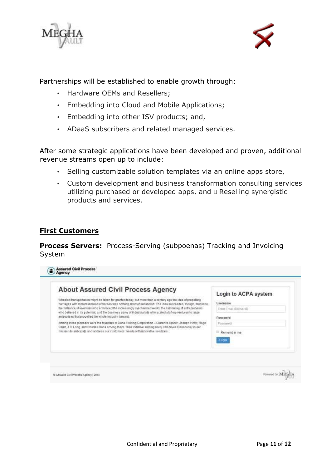

Partnerships will be established to enable growth through:

- Hardware OEMs and Resellers;
- Embedding into Cloud and Mobile Applications;
- Embedding into other ISV products; and,
- ADaaS subscribers and related managed services.

After some strategic applications have been developed and proven, additional revenue streams open up to include:

- Selling customizable solution templates via an online apps store,
- Custom development and business transformation consulting services utilizing purchased or developed apps, and  $\square$  Reselling synergistic products and services.

### **First Customers**

**Process Servers:** Process-Serving (subpoenas) Tracking and Invoicing System

| <b>About Assured Civil Process Agency</b>                                                                                                                                                                                     | Login to ACPA system    |
|-------------------------------------------------------------------------------------------------------------------------------------------------------------------------------------------------------------------------------|-------------------------|
| Wheeled transportation might be taken for granted today, but more than a century ago the idea of propelling<br>carriages with motors instead of horses was nothing short of outlandish. The idea succeeded, though, thanks to | Username                |
| the brilliance of inventors who embraced the increasingly mechanized world, the risk-tairing of entrepreneurs<br>who believed in its potential, and the business savy of industrialists who scaled start-up ventures to large | Enter Email CI/User (D) |
| enterprises that propelled the whole industry forward.                                                                                                                                                                        | Password                |
| Among those pioneers were the founders of Dana Holding Corporation -- Clarence Spicer, Joseph Victor, Hugo-<br>Reinz, J.B. Long, and Charles Dana among them. Their initiative and ingenuity still drives Dana today in our   | Password                |
| mission to anticipate and address our customers' needs with innovative solutions.                                                                                                                                             | Remember me             |
|                                                                                                                                                                                                                               | .0211                   |
|                                                                                                                                                                                                                               |                         |